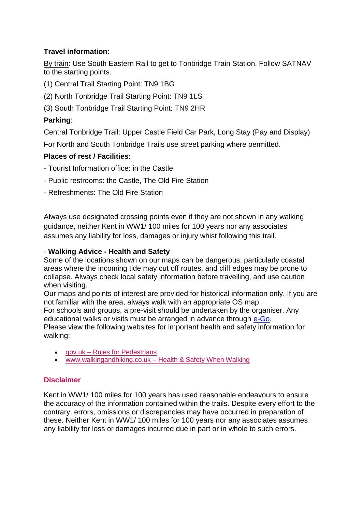## **Travel information:**

By train: Use South Eastern Rail to get to Tonbridge Train Station. Follow SATNAV to the starting points.

- (1) Central Trail Starting Point: TN9 1BG
- (2) North Tonbridge Trail Starting Point: TN9 1LS
- (3) South Tonbridge Trail Starting Point: TN9 2HR

## **Parking**:

Central Tonbridge Trail: Upper Castle Field Car Park, Long Stay (Pay and Display) For North and South Tonbridge Trails use street parking where permitted.

## **Places of rest / Facilities:**

- Tourist Information office: in the Castle
- Public restrooms: the Castle, The Old Fire Station
- Refreshments: The Old Fire Station

Always use designated crossing points even if they are not shown in any walking guidance, neither Kent in WW1/ 100 miles for 100 years nor any associates assumes any liability for loss, damages or injury whist following this trail.

### - **Walking Advice - Health and Safety**

Some of the locations shown on our maps can be dangerous, particularly coastal areas where the incoming tide may cut off routes, and cliff edges may be prone to collapse. Always check local safety information before travelling, and use caution when visiting.

Our maps and points of interest are provided for historical information only. If you are not familiar with the area, always walk with an appropriate OS map.

For schools and groups, a pre-visit should be undertaken by the organiser. Any educational walks or visits must be arranged in advance through [e-Go.](http://www.kelsi.org.uk/pupil-development-and-curriculum/outdoor-education/e-go)

Please view the following websites for important health and safety information for walking:

- gov.uk [Rules for Pedestrians](https://www.gov.uk/rules-pedestrians-1-to-35/general-guidance-1-to-6)
- www.walkingandhiking.co.uk [Health & Safety When Walking](http://www.walkingandhiking.co.uk/general-health-safety-when-walking.html)

# **Disclaimer**

Kent in WW1/ 100 miles for 100 years has used reasonable endeavours to ensure the accuracy of the information contained within the trails. Despite every effort to the contrary, errors, omissions or discrepancies may have occurred in preparation of these. Neither Kent in WW1/ 100 miles for 100 years nor any associates assumes any liability for loss or damages incurred due in part or in whole to such errors.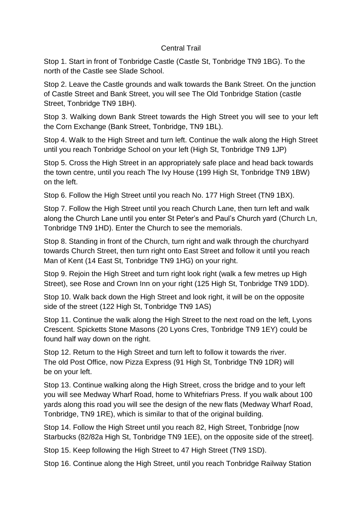#### Central Trail

Stop 1. Start in front of Tonbridge Castle (Castle St, Tonbridge TN9 1BG). To the north of the Castle see Slade School.

Stop 2. Leave the Castle grounds and walk towards the Bank Street. On the junction of Castle Street and Bank Street, you will see The Old Tonbridge Station (castle Street, Tonbridge TN9 1BH).

Stop 3. Walking down Bank Street towards the High Street you will see to your left the Corn Exchange (Bank Street, Tonbridge, TN9 1BL).

Stop 4. Walk to the High Street and turn left. Continue the walk along the High Street until you reach Tonbridge School on your left (High St, Tonbridge TN9 1JP)

Stop 5. Cross the High Street in an appropriately safe place and head back towards the town centre, until you reach The Ivy House (199 High St, Tonbridge TN9 1BW) on the left.

Stop 6. Follow the High Street until you reach No. 177 High Street (TN9 1BX).

Stop 7. Follow the High Street until you reach Church Lane, then turn left and walk along the Church Lane until you enter St Peter's and Paul's Church yard (Church Ln, Tonbridge TN9 1HD). Enter the Church to see the memorials.

Stop 8. Standing in front of the Church, turn right and walk through the churchyard towards Church Street, then turn right onto East Street and follow it until you reach Man of Kent (14 East St, Tonbridge TN9 1HG) on your right.

Stop 9. Rejoin the High Street and turn right look right (walk a few metres up High Street), see Rose and Crown Inn on your right (125 High St, Tonbridge TN9 1DD).

Stop 10. Walk back down the High Street and look right, it will be on the opposite side of the street (122 High St, Tonbridge TN9 1AS)

Stop 11. Continue the walk along the High Street to the next road on the left, Lyons Crescent. Spicketts Stone Masons (20 Lyons Cres, Tonbridge TN9 1EY) could be found half way down on the right.

Stop 12. Return to the High Street and turn left to follow it towards the river. The old Post Office, now Pizza Express (91 High St, Tonbridge TN9 1DR) will be on your left.

Stop 13. Continue walking along the High Street, cross the bridge and to your left you will see Medway Wharf Road, home to Whitefriars Press. If you walk about 100 yards along this road you will see the design of the new flats (Medway Wharf Road, Tonbridge, TN9 1RE), which is similar to that of the original building.

Stop 14. Follow the High Street until you reach 82, High Street, Tonbridge [now Starbucks (82/82a High St, Tonbridge TN9 1EE), on the opposite side of the street].

Stop 15. Keep following the High Street to 47 High Street (TN9 1SD).

Stop 16. Continue along the High Street, until you reach Tonbridge Railway Station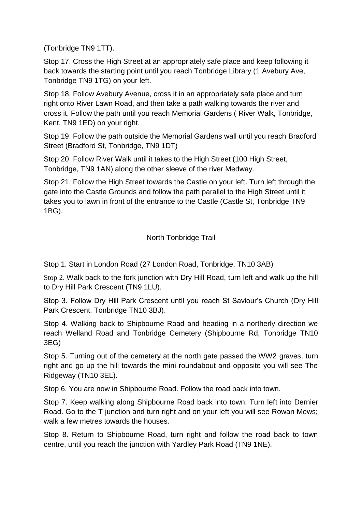(Tonbridge TN9 1TT).

Stop 17. Cross the High Street at an appropriately safe place and keep following it back towards the starting point until you reach Tonbridge Library (1 Avebury Ave, Tonbridge TN9 1TG) on your left.

Stop 18. Follow Avebury Avenue, cross it in an appropriately safe place and turn right onto River Lawn Road, and then take a path walking towards the river and cross it. Follow the path until you reach Memorial Gardens ( River Walk, Tonbridge, Kent, TN9 1ED) on your right.

Stop 19. Follow the path outside the Memorial Gardens wall until you reach Bradford Street (Bradford St, Tonbridge, TN9 1DT)

Stop 20. Follow River Walk until it takes to the High Street (100 High Street, Tonbridge, TN9 1AN) along the other sleeve of the river Medway.

Stop 21. Follow the High Street towards the Castle on your left. Turn left through the gate into the Castle Grounds and follow the path parallel to the High Street until it takes you to lawn in front of the entrance to the Castle (Castle St, Tonbridge TN9 1BG).

North Tonbridge Trail

Stop 1. Start in London Road (27 London Road, Tonbridge, TN10 3AB)

Stop 2. Walk back to the fork junction with Dry Hill Road, turn left and walk up the hill to Dry Hill Park Crescent (TN9 1LU).

Stop 3. Follow Dry Hill Park Crescent until you reach St Saviour's Church (Dry Hill Park Crescent, Tonbridge TN10 3BJ).

Stop 4. Walking back to Shipbourne Road and heading in a northerly direction we reach Welland Road and Tonbridge Cemetery (Shipbourne Rd, Tonbridge TN10 3EG)

Stop 5. Turning out of the cemetery at the north gate passed the WW2 graves, turn right and go up the hill towards the mini roundabout and opposite you will see The Ridgeway (TN10 3EL).

Stop 6. You are now in Shipbourne Road. Follow the road back into town.

Stop 7. Keep walking along Shipbourne Road back into town. Turn left into Dernier Road. Go to the T junction and turn right and on your left you will see Rowan Mews; walk a few metres towards the houses.

Stop 8. Return to Shipbourne Road, turn right and follow the road back to town centre, until you reach the junction with Yardley Park Road (TN9 1NE).